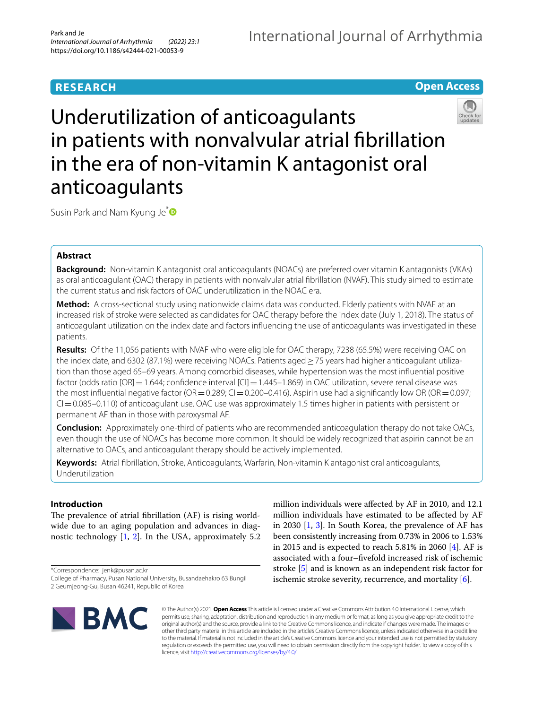# **RESEARCH**





Susin Park and Nam Kyung Je<sup>[\\*](http://orcid.org/0000-0002-0299-5131)</sup>

## **Abstract**

**Background:** Non-vitamin K antagonist oral anticoagulants (NOACs) are preferred over vitamin K antagonists (VKAs) as oral anticoagulant (OAC) therapy in patients with nonvalvular atrial fbrillation (NVAF). This study aimed to estimate the current status and risk factors of OAC underutilization in the NOAC era.

**Method:** A cross-sectional study using nationwide claims data was conducted. Elderly patients with NVAF at an increased risk of stroke were selected as candidates for OAC therapy before the index date (July 1, 2018). The status of anticoagulant utilization on the index date and factors infuencing the use of anticoagulants was investigated in these patients.

**Results:** Of the 11,056 patients with NVAF who were eligible for OAC therapy, 7238 (65.5%) were receiving OAC on the index date, and 6302 (87.1%) were receiving NOACs. Patients aged≥75 years had higher anticoagulant utilization than those aged 65–69 years. Among comorbid diseases, while hypertension was the most infuential positive factor (odds ratio [OR] = 1.644; confidence interval  $|Cl|$  = 1.445–1.869) in OAC utilization, severe renal disease was the most influential negative factor (OR = 0.289; CI = 0.200–0.416). Aspirin use had a significantly low OR (OR = 0.097;  $CI = 0.085 - 0.110$ ) of anticoagulant use. OAC use was approximately 1.5 times higher in patients with persistent or permanent AF than in those with paroxysmal AF.

**Conclusion:** Approximately one-third of patients who are recommended anticoagulation therapy do not take OACs, even though the use of NOACs has become more common. It should be widely recognized that aspirin cannot be an alternative to OACs, and anticoagulant therapy should be actively implemented.

**Keywords:** Atrial fbrillation, Stroke, Anticoagulants, Warfarin, Non-vitamin K antagonist oral anticoagulants, Underutilization

## **Introduction**

The prevalence of atrial fibrillation  $(AF)$  is rising worldwide due to an aging population and advances in diagnostic technology [\[1](#page-6-0), [2\]](#page-6-1). In the USA, approximately 5.2

\*Correspondence: jenk@pusan.ac.kr

million individuals were afected by AF in 2010, and 12.1 million individuals have estimated to be afected by AF in 2030 [[1,](#page-6-0) [3](#page-6-2)]. In South Korea, the prevalence of AF has been consistently increasing from 0.73% in 2006 to 1.53% in 2015 and is expected to reach 5.81% in 2060 [\[4\]](#page-6-3). AF is associated with a four–fvefold increased risk of ischemic stroke [[5\]](#page-6-4) and is known as an independent risk factor for ischemic stroke severity, recurrence, and mortality [\[6](#page-6-5)].



© The Author(s) 2021. **Open Access** This article is licensed under a Creative Commons Attribution 4.0 International License, which permits use, sharing, adaptation, distribution and reproduction in any medium or format, as long as you give appropriate credit to the original author(s) and the source, provide a link to the Creative Commons licence, and indicate if changes were made. The images or other third party material in this article are included in the article's Creative Commons licence, unless indicated otherwise in a credit line to the material. If material is not included in the article's Creative Commons licence and your intended use is not permitted by statutory regulation or exceeds the permitted use, you will need to obtain permission directly from the copyright holder. To view a copy of this licence, visit [http://creativecommons.org/licenses/by/4.0/.](http://creativecommons.org/licenses/by/4.0/)

College of Pharmacy, Pusan National University, Busandaehakro 63 Bungil 2 Geumjeong-Gu, Busan 46241, Republic of Korea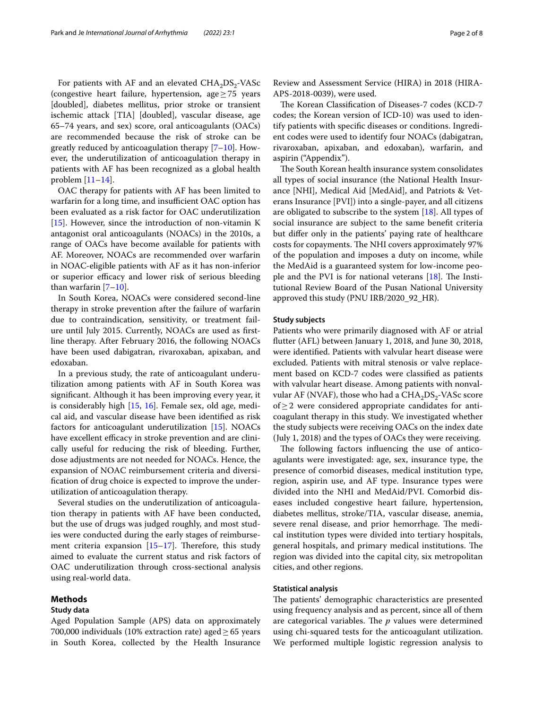For patients with AF and an elevated  $CHA<sub>2</sub>DS<sub>2</sub>-VASC$ (congestive heart failure, hypertension, age≥75 years [doubled], diabetes mellitus, prior stroke or transient ischemic attack [TIA] [doubled], vascular disease, age 65–74 years, and sex) score, oral anticoagulants (OACs) are recommended because the risk of stroke can be greatly reduced by anticoagulation therapy [\[7](#page-6-6)[–10](#page-6-7)]. However, the underutilization of anticoagulation therapy in patients with AF has been recognized as a global health problem [[11](#page-6-8)[–14](#page-6-9)].

OAC therapy for patients with AF has been limited to warfarin for a long time, and insufficient OAC option has been evaluated as a risk factor for OAC underutilization [[15\]](#page-6-10). However, since the introduction of non-vitamin K antagonist oral anticoagulants (NOACs) in the 2010s, a range of OACs have become available for patients with AF. Moreover, NOACs are recommended over warfarin in NOAC-eligible patients with AF as it has non-inferior or superior efficacy and lower risk of serious bleeding than warfarin  $[7-10]$  $[7-10]$  $[7-10]$ .

In South Korea, NOACs were considered second-line therapy in stroke prevention after the failure of warfarin due to contraindication, sensitivity, or treatment failure until July 2015. Currently, NOACs are used as frstline therapy. After February 2016, the following NOACs have been used dabigatran, rivaroxaban, apixaban, and edoxaban.

In a previous study, the rate of anticoagulant underutilization among patients with AF in South Korea was signifcant. Although it has been improving every year, it is considerably high [[15,](#page-6-10) [16](#page-6-11)]. Female sex, old age, medical aid, and vascular disease have been identifed as risk factors for anticoagulant underutilization [\[15](#page-6-10)]. NOACs have excellent efficacy in stroke prevention and are clinically useful for reducing the risk of bleeding. Further, dose adjustments are not needed for NOACs. Hence, the expansion of NOAC reimbursement criteria and diversifcation of drug choice is expected to improve the underutilization of anticoagulation therapy.

Several studies on the underutilization of anticoagulation therapy in patients with AF have been conducted, but the use of drugs was judged roughly, and most studies were conducted during the early stages of reimbursement criteria expansion  $[15-17]$  $[15-17]$ . Therefore, this study aimed to evaluate the current status and risk factors of OAC underutilization through cross-sectional analysis using real-world data.

#### **Methods**

## **Study data**

Aged Population Sample (APS) data on approximately 700,000 individuals (10% extraction rate) aged  $\geq$  65 years in South Korea, collected by the Health Insurance

Review and Assessment Service (HIRA) in 2018 (HIRA-APS-2018-0039), were used.

The Korean Classification of Diseases-7 codes (KCD-7 codes; the Korean version of ICD-10) was used to identify patients with specifc diseases or conditions. Ingredient codes were used to identify four NOACs (dabigatran, rivaroxaban, apixaban, and edoxaban), warfarin, and aspirin ("Appendix").

The South Korean health insurance system consolidates all types of social insurance (the National Health Insurance [NHI], Medical Aid [MedAid], and Patriots & Veterans Insurance [PVI]) into a single-payer, and all citizens are obligated to subscribe to the system  $[18]$  $[18]$  $[18]$ . All types of social insurance are subject to the same beneft criteria but difer only in the patients' paying rate of healthcare costs for copayments. The NHI covers approximately 97% of the population and imposes a duty on income, while the MedAid is a guaranteed system for low-income people and the PVI is for national veterans  $[18]$  $[18]$ . The Institutional Review Board of the Pusan National University approved this study (PNU IRB/2020\_92\_HR).

#### **Study subjects**

Patients who were primarily diagnosed with AF or atrial futter (AFL) between January 1, 2018, and June 30, 2018, were identifed. Patients with valvular heart disease were excluded. Patients with mitral stenosis or valve replacement based on KCD-7 codes were classifed as patients with valvular heart disease. Among patients with nonvalvular AF (NVAF), those who had a  $CHA<sub>2</sub>DS<sub>2</sub>$ -VASc score of≥2 were considered appropriate candidates for anticoagulant therapy in this study. We investigated whether the study subjects were receiving OACs on the index date (July 1, 2018) and the types of OACs they were receiving.

The following factors influencing the use of anticoagulants were investigated: age, sex, insurance type, the presence of comorbid diseases, medical institution type, region, aspirin use, and AF type. Insurance types were divided into the NHI and MedAid/PVI. Comorbid diseases included congestive heart failure, hypertension, diabetes mellitus, stroke/TIA, vascular disease, anemia, severe renal disease, and prior hemorrhage. The medical institution types were divided into tertiary hospitals, general hospitals, and primary medical institutions. The region was divided into the capital city, six metropolitan cities, and other regions.

#### **Statistical analysis**

The patients' demographic characteristics are presented using frequency analysis and as percent, since all of them are categorical variables. The  $p$  values were determined using chi-squared tests for the anticoagulant utilization. We performed multiple logistic regression analysis to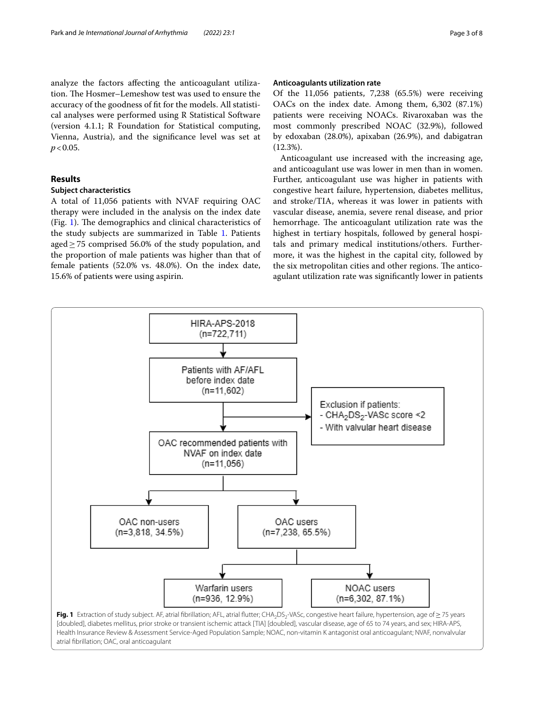analyze the factors afecting the anticoagulant utilization. The Hosmer–Lemeshow test was used to ensure the accuracy of the goodness of ft for the models. All statistical analyses were performed using R Statistical Software (version 4.1.1; R Foundation for Statistical computing, Vienna, Austria), and the signifcance level was set at  $p < 0.05$ .

## **Results**

## **Subject characteristics**

A total of 11,056 patients with NVAF requiring OAC therapy were included in the analysis on the index date (Fig. [1\)](#page-2-0). The demographics and clinical characteristics of the study subjects are summarized in Table [1.](#page-3-0) Patients aged≥75 comprised 56.0% of the study population, and the proportion of male patients was higher than that of female patients (52.0% vs. 48.0%). On the index date, 15.6% of patients were using aspirin.

## **Anticoagulants utilization rate**

Of the 11,056 patients, 7,238 (65.5%) were receiving OACs on the index date. Among them, 6,302 (87.1%) patients were receiving NOACs. Rivaroxaban was the most commonly prescribed NOAC (32.9%), followed by edoxaban (28.0%), apixaban (26.9%), and dabigatran (12.3%).

Anticoagulant use increased with the increasing age, and anticoagulant use was lower in men than in women. Further, anticoagulant use was higher in patients with congestive heart failure, hypertension, diabetes mellitus, and stroke/TIA, whereas it was lower in patients with vascular disease, anemia, severe renal disease, and prior hemorrhage. The anticoagulant utilization rate was the highest in tertiary hospitals, followed by general hospitals and primary medical institutions/others. Furthermore, it was the highest in the capital city, followed by the six metropolitan cities and other regions. The anticoagulant utilization rate was signifcantly lower in patients

<span id="page-2-0"></span>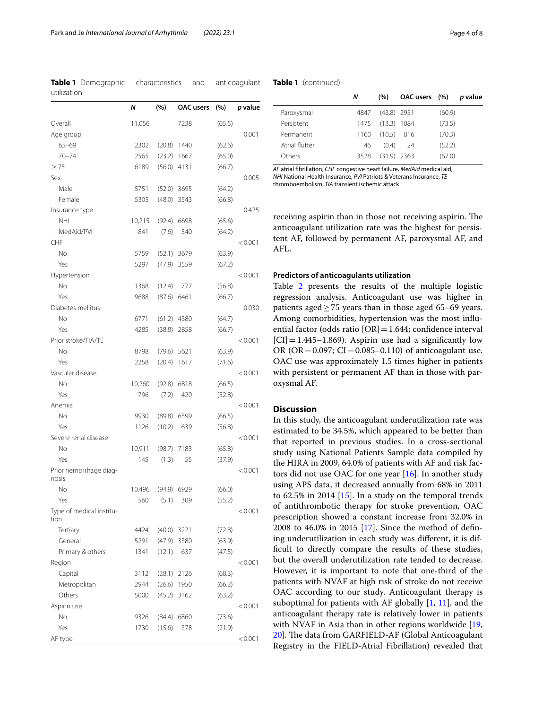<span id="page-3-0"></span>**Table 1** Demographic characteristics and anticoagulant utilization

|                                  | Ν      | (%)           | <b>OAC</b> users | (%)    | p value |
|----------------------------------|--------|---------------|------------------|--------|---------|
| Overall                          | 11,056 |               | 7238             | (65.5) |         |
| Age group                        |        |               |                  |        | 0.001   |
| $65 - 69$                        | 2302   |               | $(20.8)$ 1440    | (62.6) |         |
| $70 - 74$                        | 2565   |               | $(23.2)$ 1667    | (65.0) |         |
| $\geq$ 75                        | 6189   | $(56.0)$ 4131 |                  | (66.7) |         |
| Sex                              |        |               |                  |        | 0.005   |
| Male                             | 5751   | $(52.0)$ 3695 |                  | (64.2) |         |
| Female                           | 5305   |               | $(48.0)$ 3543    | (66.8) |         |
| Insurance type                   |        |               |                  |        | 0.425   |
| <b>NHI</b>                       | 10,215 |               | $(92.4)$ 6698    | (65.6) |         |
| MedAid/PVI                       | 841    | (7.6)         | 540              | (64.2) |         |
| CHF                              |        |               |                  |        | < 0.001 |
| No                               | 5759   |               | $(52.1)$ 3679    | (63.9) |         |
| Yes                              | 5297   |               | $(47.9)$ 3559    | (67.2) |         |
| Hypertension                     |        |               |                  |        | < 0.001 |
| No                               | 1368   | (12.4)        | 777              | (56.8) |         |
| Yes                              | 9688   | $(87.6)$ 6461 |                  | (66.7) |         |
| Diabetes mellitus                |        |               |                  |        | 0.030   |
| No                               | 6771   |               | $(61.2)$ 4380    | (64.7) |         |
| Yes                              | 4285   |               | $(38.8)$ 2858    | (66.7) |         |
| Prior stroke/TIA/TE              |        |               |                  |        | < 0.001 |
| No                               | 8798   | (79.6)        | 5621             | (63.9) |         |
| Yes                              | 2258   | (20.4)        | 1617             | (71.6) |         |
| Vascular disease                 |        |               |                  |        | < 0.001 |
| No                               | 10,260 |               | $(92.8)$ 6818    | (66.5) |         |
| Yes                              | 796    | (7.2)         | 420              | (52.8) |         |
| Anemia                           |        |               |                  |        | < 0.001 |
| No                               | 9930   |               | (89.8) 6599      | (66.5) |         |
| Yes                              | 1126   | (10.2)        | 639              | (56.8) |         |
| Severe renal disease             |        |               |                  |        | < 0.001 |
| No                               | 10,911 | (98.7)        | 7183             | (65.8) |         |
| Yes                              | 145    | (1.3)         | 55               | (37.9) |         |
| Prior hemorrhage diag-           |        |               |                  |        | < 0.001 |
| nosis                            |        |               |                  |        |         |
| N <sub>o</sub>                   | 10,496 | (94.9)        | 6929             | (66.0) |         |
| Yes                              | 560    | (5.1)         | 309              | (55.2) |         |
| Type of medical institu-<br>tion |        |               |                  |        | < 0.001 |
| Tertiary                         | 4424   | $(40.0)$ 3221 |                  | (72.8) |         |
| General                          | 5291   | (47.9)        | 3380             | (63.9) |         |
| Primary & others                 | 1341   | (12.1)        | 637              | (47.5) |         |
| Region                           |        |               |                  |        | < 0.001 |
| Capital                          | 3112   |               | $(28.1)$ 2126    | (68.3) |         |
| Metropolitan                     | 2944   |               | $(26.6)$ 1950    | (66.2) |         |
| Others                           | 5000   | (45.2)        | 3162             | (63.2) |         |
| Aspirin use                      |        |               |                  |        | < 0.001 |
| No                               | 9326   | (84.4)        | 6860             | (73.6) |         |
| Yes                              | 1730   | (15.6)        | 378              | (21.9) |         |
| AF type                          |        |               |                  |        | < 0.001 |

#### **Table 1** (continued)

|                | Ν    | (%)           | OAC users (%) |        | p value |
|----------------|------|---------------|---------------|--------|---------|
| Paroxysmal     | 4847 | $(43.8)$ 2951 |               | (60.9) |         |
| Persistent     | 1475 | $(13.3)$ 1084 |               | (73.5) |         |
| Permanent      | 1160 | (10.5)        | 816           | (70.3) |         |
| Atrial flutter | 46   | (0.4)         | -24           | (52.2) |         |
| Others         | 3528 | $(31.9)$ 2363 |               | (67.0) |         |

*AF* atrial fbrillation, *CHF* congestive heart failure, *MedAid* medical aid, *NHI* National Health Insurance, *PVI* Patriots & Veterans Insurance, *TE* thromboembolism, *TIA* transient ischemic attack

receiving aspirin than in those not receiving aspirin. The anticoagulant utilization rate was the highest for persistent AF, followed by permanent AF, paroxysmal AF, and AFL.

#### **Predictors of anticoagulants utilization**

Table [2](#page-4-0) presents the results of the multiple logistic regression analysis. Anticoagulant use was higher in patients aged≥75 years than in those aged 65–69 years. Among comorbidities, hypertension was the most infuential factor (odds ratio  $[OR] = 1.644$ ; confidence interval  $|CI|=1.445-1.869$ . Aspirin use had a significantly low OR (OR =  $0.097$ ; CI =  $0.085-0.110$ ) of anticoagulant use. OAC use was approximately 1.5 times higher in patients with persistent or permanent AF than in those with paroxysmal AF.

#### **Discussion**

In this study, the anticoagulant underutilization rate was estimated to be 34.5%, which appeared to be better than that reported in previous studies. In a cross-sectional study using National Patients Sample data compiled by the HIRA in 2009, 64.0% of patients with AF and risk factors did not use OAC for one year [\[16](#page-6-11)]. In another study using APS data, it decreased annually from 68% in 2011 to 62.5% in 2014 [\[15\]](#page-6-10). In a study on the temporal trends of antithrombotic therapy for stroke prevention, OAC prescription showed a constant increase from 32.0% in 2008 to 46.0% in 2015 [[17\]](#page-6-12). Since the method of defning underutilization in each study was diferent, it is difficult to directly compare the results of these studies, but the overall underutilization rate tended to decrease. However, it is important to note that one-third of the patients with NVAF at high risk of stroke do not receive OAC according to our study. Anticoagulant therapy is suboptimal for patients with AF globally  $[1, 11]$  $[1, 11]$  $[1, 11]$  $[1, 11]$ , and the anticoagulant therapy rate is relatively lower in patients with NVAF in Asia than in other regions worldwide [[19](#page-6-14), [20\]](#page-6-15). The data from GARFIELD-AF (Global Anticoagulant Registry in the FIELD-Atrial Fibrillation) revealed that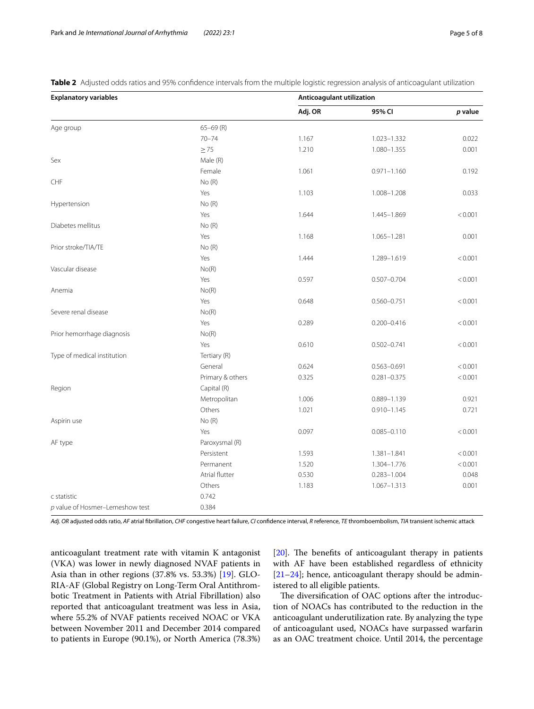<span id="page-4-0"></span>**Table 2** Adjusted odds ratios and 95% confidence intervals from the multiple logistic regression analysis of anticoagulant utilization

| <b>Explanatory variables</b>      |                  | Anticoagulant utilization |                 |         |  |
|-----------------------------------|------------------|---------------------------|-----------------|---------|--|
|                                   |                  | Adj. OR                   | 95% CI          | p value |  |
| Age group                         | $65 - 69$ (R)    |                           |                 |         |  |
|                                   | $70 - 74$        | 1.167                     | $1.023 - 1.332$ | 0.022   |  |
|                                   | $\geq$ 75        | 1.210                     | 1.080-1.355     | 0.001   |  |
| Sex                               | Male (R)         |                           |                 |         |  |
|                                   | Female           | 1.061                     | $0.971 - 1.160$ | 0.192   |  |
| CHF                               | No(R)            |                           |                 |         |  |
|                                   | Yes              | 1.103                     | 1.008-1.208     | 0.033   |  |
| Hypertension                      | No(R)            |                           |                 |         |  |
|                                   | Yes              | 1.644                     | 1.445-1.869     | < 0.001 |  |
| Diabetes mellitus                 | No(R)            |                           |                 |         |  |
|                                   | Yes              | 1.168                     | $1.065 - 1.281$ | 0.001   |  |
| Prior stroke/TIA/TE               | No(R)            |                           |                 |         |  |
|                                   | Yes              | 1.444                     | 1.289-1.619     | < 0.001 |  |
| Vascular disease                  | No(R)            |                           |                 |         |  |
|                                   | Yes              | 0.597                     | $0.507 - 0.704$ | < 0.001 |  |
| Anemia                            | No(R)            |                           |                 |         |  |
|                                   | Yes              | 0.648                     | $0.560 - 0.751$ | < 0.001 |  |
| Severe renal disease              | No(R)            |                           |                 |         |  |
|                                   | Yes              | 0.289                     | $0.200 - 0.416$ | < 0.001 |  |
| Prior hemorrhage diagnosis        | No(R)            |                           |                 |         |  |
|                                   | Yes              | 0.610                     | $0.502 - 0.741$ | < 0.001 |  |
| Type of medical institution       | Tertiary (R)     |                           |                 |         |  |
|                                   | General          | 0.624                     | $0.563 - 0.691$ | < 0.001 |  |
|                                   | Primary & others | 0.325                     | $0.281 - 0.375$ | < 0.001 |  |
| Region                            | Capital (R)      |                           |                 |         |  |
|                                   | Metropolitan     | 1.006                     | 0.889-1.139     | 0.921   |  |
|                                   | Others           | 1.021                     | $0.910 - 1.145$ | 0.721   |  |
| Aspirin use                       | No(R)            |                           |                 |         |  |
|                                   | Yes              | 0.097                     | $0.085 - 0.110$ | < 0.001 |  |
| AF type                           | Paroxysmal (R)   |                           |                 |         |  |
|                                   | Persistent       | 1.593                     | 1.381-1.841     | < 0.001 |  |
|                                   | Permanent        | 1.520                     | 1.304-1.776     | < 0.001 |  |
|                                   | Atrial flutter   | 0.530                     | $0.283 - 1.004$ | 0.048   |  |
|                                   | Others           | 1.183                     | $1.067 - 1.313$ | 0.001   |  |
| c statistic                       | 0.742            |                           |                 |         |  |
| $p$ value of Hosmer-Lemeshow test | 0.384            |                           |                 |         |  |

*Adj. OR* adjusted odds ratio, *AF* atrial fbrillation, *CHF* congestive heart failure, *CI* confdence interval, *R* reference, *TE* thromboembolism, *TIA* transient ischemic attack

anticoagulant treatment rate with vitamin K antagonist (VKA) was lower in newly diagnosed NVAF patients in Asia than in other regions (37.8% vs. 53.3%) [[19\]](#page-6-14). GLO-RIA-AF (Global Registry on Long-Term Oral Antithrombotic Treatment in Patients with Atrial Fibrillation) also reported that anticoagulant treatment was less in Asia, where 55.2% of NVAF patients received NOAC or VKA between November 2011 and December 2014 compared to patients in Europe (90.1%), or North America (78.3%)

[[20\]](#page-6-15). The benefits of anticoagulant therapy in patients with AF have been established regardless of ethnicity [[21–](#page-7-0)[24\]](#page-7-1); hence, anticoagulant therapy should be administered to all eligible patients.

The diversification of OAC options after the introduction of NOACs has contributed to the reduction in the anticoagulant underutilization rate. By analyzing the type of anticoagulant used, NOACs have surpassed warfarin as an OAC treatment choice. Until 2014, the percentage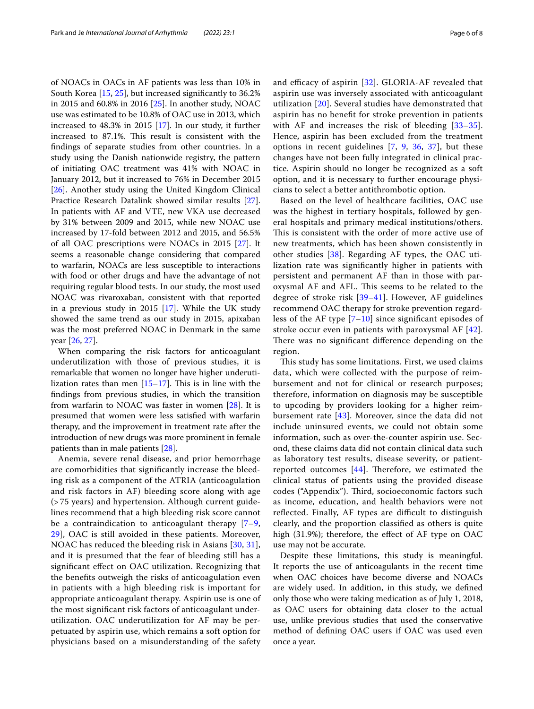of NOACs in OACs in AF patients was less than 10% in South Korea [[15](#page-6-10), [25](#page-7-2)], but increased signifcantly to 36.2% in 2015 and 60.8% in 2016 [\[25\]](#page-7-2). In another study, NOAC use was estimated to be 10.8% of OAC use in 2013, which increased to 48.3% in 2015 [\[17](#page-6-12)]. In our study, it further increased to 87.1%. This result is consistent with the fndings of separate studies from other countries. In a study using the Danish nationwide registry, the pattern of initiating OAC treatment was 41% with NOAC in January 2012, but it increased to 76% in December 2015 [[26\]](#page-7-3). Another study using the United Kingdom Clinical Practice Research Datalink showed similar results [\[27](#page-7-4)]. In patients with AF and VTE, new VKA use decreased by 31% between 2009 and 2015, while new NOAC use increased by 17-fold between 2012 and 2015, and 56.5% of all OAC prescriptions were NOACs in 2015 [[27\]](#page-7-4). It seems a reasonable change considering that compared to warfarin, NOACs are less susceptible to interactions with food or other drugs and have the advantage of not requiring regular blood tests. In our study, the most used NOAC was rivaroxaban, consistent with that reported in a previous study in 2015 [[17\]](#page-6-12). While the UK study showed the same trend as our study in 2015, apixaban was the most preferred NOAC in Denmark in the same year [\[26](#page-7-3), [27\]](#page-7-4).

When comparing the risk factors for anticoagulant underutilization with those of previous studies, it is remarkable that women no longer have higher underutilization rates than men  $[15-17]$  $[15-17]$  $[15-17]$ . This is in line with the fndings from previous studies, in which the transition from warfarin to NOAC was faster in women [[28](#page-7-5)]. It is presumed that women were less satisfed with warfarin therapy, and the improvement in treatment rate after the introduction of new drugs was more prominent in female patients than in male patients [[28\]](#page-7-5).

Anemia, severe renal disease, and prior hemorrhage are comorbidities that signifcantly increase the bleeding risk as a component of the ATRIA (anticoagulation and risk factors in AF) bleeding score along with age (> 75 years) and hypertension. Although current guidelines recommend that a high bleeding risk score cannot be a contraindication to anticoagulant therapy  $[7-9, 8]$  $[7-9, 8]$  $[7-9, 8]$ [29\]](#page-7-6), OAC is still avoided in these patients. Moreover, NOAC has reduced the bleeding risk in Asians [[30,](#page-7-7) [31\]](#page-7-8), and it is presumed that the fear of bleeding still has a signifcant efect on OAC utilization. Recognizing that the benefts outweigh the risks of anticoagulation even in patients with a high bleeding risk is important for appropriate anticoagulant therapy. Aspirin use is one of the most signifcant risk factors of anticoagulant underutilization. OAC underutilization for AF may be perpetuated by aspirin use, which remains a soft option for physicians based on a misunderstanding of the safety and efficacy of aspirin  $[32]$ . GLORIA-AF revealed that aspirin use was inversely associated with anticoagulant utilization [\[20](#page-6-15)]. Several studies have demonstrated that aspirin has no beneft for stroke prevention in patients with AF and increases the risk of bleeding [[33–](#page-7-10)[35](#page-7-11)]. Hence, aspirin has been excluded from the treatment options in recent guidelines [[7](#page-6-6), [9](#page-6-16), [36](#page-7-12), [37](#page-7-13)], but these changes have not been fully integrated in clinical practice. Aspirin should no longer be recognized as a soft option, and it is necessary to further encourage physicians to select a better antithrombotic option.

Based on the level of healthcare facilities, OAC use was the highest in tertiary hospitals, followed by general hospitals and primary medical institutions/others. This is consistent with the order of more active use of new treatments, which has been shown consistently in other studies [\[38](#page-7-14)]. Regarding AF types, the OAC utilization rate was signifcantly higher in patients with persistent and permanent AF than in those with paroxysmal AF and AFL. This seems to be related to the degree of stroke risk [[39](#page-7-15)–[41](#page-7-16)]. However, AF guidelines recommend OAC therapy for stroke prevention regardless of the AF type  $[7–10]$  $[7–10]$  $[7–10]$  since significant episodes of stroke occur even in patients with paroxysmal AF  $[42]$  $[42]$  $[42]$ . There was no significant difference depending on the region.

This study has some limitations. First, we used claims data, which were collected with the purpose of reimbursement and not for clinical or research purposes; therefore, information on diagnosis may be susceptible to upcoding by providers looking for a higher reimbursement rate [[43\]](#page-7-18). Moreover, since the data did not include uninsured events, we could not obtain some information, such as over-the-counter aspirin use. Second, these claims data did not contain clinical data such as laboratory test results, disease severity, or patientreported outcomes  $[44]$  $[44]$  $[44]$ . Therefore, we estimated the clinical status of patients using the provided disease codes ("Appendix"). Third, socioeconomic factors such as income, education, and health behaviors were not reflected. Finally, AF types are difficult to distinguish clearly, and the proportion classifed as others is quite high (31.9%); therefore, the effect of AF type on OAC use may not be accurate.

Despite these limitations, this study is meaningful. It reports the use of anticoagulants in the recent time when OAC choices have become diverse and NOACs are widely used. In addition, in this study, we defned only those who were taking medication as of July 1, 2018, as OAC users for obtaining data closer to the actual use, unlike previous studies that used the conservative method of defning OAC users if OAC was used even once a year.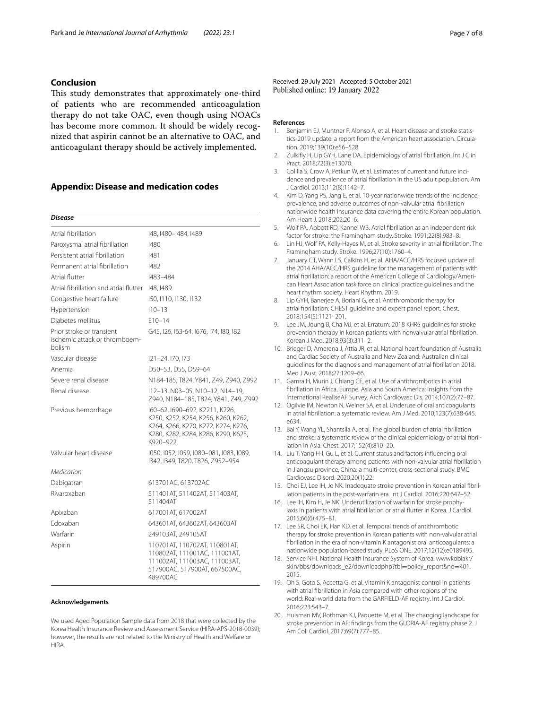### **Conclusion**

This study demonstrates that approximately one-third of patients who are recommended anticoagulation therapy do not take OAC, even though using NOACs has become more common. It should be widely recognized that aspirin cannot be an alternative to OAC, and anticoagulant therapy should be actively implemented.

#### **Appendix: Disease and medication codes**

#### *Disease*

| Atrial fibrillation                                                  | 148, 1480–1484, 1489                                                                                                                                            |
|----------------------------------------------------------------------|-----------------------------------------------------------------------------------------------------------------------------------------------------------------|
| Paroxysmal atrial fibrillation                                       | 1480                                                                                                                                                            |
| Persistent atrial fibrillation                                       | 1481                                                                                                                                                            |
| Permanent atrial fibrillation                                        | 1482                                                                                                                                                            |
| Atrial flutter                                                       | 1483-484                                                                                                                                                        |
| Atrial fibrillation and atrial flutter                               | 148, 1489                                                                                                                                                       |
| Congestive heart failure                                             | 150, 1110, 1130, 1132                                                                                                                                           |
| Hypertension                                                         | $110 - 13$                                                                                                                                                      |
| Diabetes mellitus                                                    | $F10-14$                                                                                                                                                        |
| Prior stroke or transient<br>ischemic attack or thromboem-<br>bolism | G45, I26, I63-64, I676, I74, I80, I82                                                                                                                           |
| Vascular disease                                                     | 121-24, 170, 173                                                                                                                                                |
| Anemia                                                               | D50-53, D55, D59-64                                                                                                                                             |
| Severe renal disease                                                 | N184-185, T824, Y841, Z49, Z940, Z992                                                                                                                           |
| Renal disease                                                        | I12-13, N03-05, N10-12, N14-19,<br>Z940, N184-185, T824, Y841, Z49, Z992                                                                                        |
| Previous hemorrhage                                                  | I60-62, I690-692, K2211, K226,<br>K250, K252, K254, K256, K260, K262,<br>K264, K266, K270, K272, K274, K276,<br>K280, K282, K284, K286, K290, K625,<br>K920-922 |
| Valvular heart disease                                               | 1050, 1052, 1059, 1080-081, 1083, 1089,<br>I342, I349, T820, T826, Z952-954                                                                                     |
| Medication                                                           |                                                                                                                                                                 |
| Dabigatran                                                           | 613701AC, 613702AC                                                                                                                                              |
| Rivaroxaban                                                          | 511401AT, 511402AT, 511403AT,<br>511404AT                                                                                                                       |
| Apixaban                                                             | 617001AT, 617002AT                                                                                                                                              |
| Fdoxaban                                                             | 643601AT, 643602AT, 643603AT                                                                                                                                    |
| Warfarin                                                             | 249103AT, 249105AT                                                                                                                                              |
| Aspirin                                                              | 110701AT, 110702AT, 110801AT,<br>110802AT, 111001AC, 111001AT,<br>111002AT, 111003AC, 111003AT,<br>517900AC, 517900AT, 667500AC,<br>489700AC                    |

#### **Acknowledgements**

We used Aged Population Sample data from 2018 that were collected by the Korea Health Insurance Review and Assessment Service (HIRA-APS-2018-0039); however, the results are not related to the Ministry of Health and Welfare or **HIRA** 

Received: 29 July 2021 Accepted: 5 October 2021<br>Published online: 19 January 2022

#### **References**

- <span id="page-6-0"></span>1. Benjamin EJ, Muntner P, Alonso A, et al. Heart disease and stroke statistics-2019 update: a report from the American heart association. Circulation. 2019;139(10):e56–528.
- <span id="page-6-1"></span>2. Zulkify H, Lip GYH, Lane DA. Epidemiology of atrial fbrillation. Int J Clin Pract. 2018;72(3):e13070.
- <span id="page-6-2"></span>3. Colilla S, Crow A, Petkun W, et al. Estimates of current and future incidence and prevalence of atrial fbrillation in the US adult population. Am J Cardiol. 2013;112(8):1142–7.
- <span id="page-6-3"></span>4. Kim D, Yang PS, Jang E, et al. 10-year nationwide trends of the incidence, prevalence, and adverse outcomes of non-valvular atrial fbrillation nationwide health insurance data covering the entire Korean population. Am Heart J. 2018;202:20–6.
- <span id="page-6-4"></span>5. Wolf PA, Abbott RD, Kannel WB. Atrial fbrillation as an independent risk factor for stroke: the Framingham study. Stroke. 1991;22(8):983–8.
- <span id="page-6-5"></span>6. Lin HJ, Wolf PA, Kelly-Hayes M, et al. Stroke severity in atrial fbrillation. The Framingham study. Stroke. 1996;27(10):1760–4.
- <span id="page-6-6"></span>January CT, Wann LS, Calkins H, et al. AHA/ACC/HRS focused update of the 2014 AHA/ACC/HRS guideline for the management of patients with atrial fbrillation: a report of the American College of Cardiology/American Heart Association task force on clinical practice guidelines and the heart rhythm society. Heart Rhythm. 2019.
- 8. Lip GYH, Banerjee A, Boriani G, et al. Antithrombotic therapy for atrial fbrillation: CHEST guideline and expert panel report. Chest. 2018;154(5):1121–201.
- <span id="page-6-16"></span>9. Lee JM, Joung B, Cha MJ, et al. Erratum: 2018 KHRS guidelines for stroke prevention therapy in korean patients with nonvalvular atrial fbrillation. Korean J Med. 2018;93(3):311–2.
- <span id="page-6-7"></span>10. Brieger D, Amerena J, Attia JR, et al. National heart foundation of Australia and Cardiac Society of Australia and New Zealand: Australian clinical guidelines for the diagnosis and management of atrial fbrillation 2018. Med J Aust. 2018;27:1209–66.
- <span id="page-6-8"></span>11. Gamra H, Murin J, Chiang CE, et al. Use of antithrombotics in atrial fbrillation in Africa, Europe, Asia and South America: insights from the International RealiseAF Survey. Arch Cardiovasc Dis. 2014;107(2):77–87.
- 12. Ogilvie IM, Newton N, Welner SA, et al. Underuse of oral anticoagulants in atrial fbrillation: a systematic review. Am J Med. 2010;123(7):638-645. e634.
- 13. Bai Y, Wang YL, Shantsila A, et al. The global burden of atrial fibrillation and stroke: a systematic review of the clinical epidemiology of atrial fbrillation in Asia. Chest. 2017;152(4):810–20.
- <span id="page-6-9"></span>14. Liu T, Yang H-l, Gu L, et al. Current status and factors infuencing oral anticoagulant therapy among patients with non-valvular atrial fbrillation in Jiangsu province, China: a multi-center, cross-sectional study. BMC Cardiovasc Disord. 2020;20(1):22.
- <span id="page-6-10"></span>15. Choi EJ, Lee IH, Je NK. Inadequate stroke prevention in Korean atrial fbrillation patients in the post-warfarin era. Int J Cardiol. 2016;220:647–52.
- <span id="page-6-11"></span>16. Lee IH, Kim H, Je NK. Underutilization of warfarin for stroke prophylaxis in patients with atrial fbrillation or atrial futter in Korea. J Cardiol. 2015;66(6):475–81.
- <span id="page-6-12"></span>17. Lee SR, Choi EK, Han KD, et al. Temporal trends of antithrombotic therapy for stroke prevention in Korean patients with non-valvular atrial fbrillation in the era of non-vitamin K antagonist oral anticoagulants: a nationwide population-based study. PLoS ONE. 2017;12(12):e0189495.
- <span id="page-6-13"></span>18. Service NHI. National Health Insurance System of Korea. wwwkobiakr/ skin/bbs/downloads\_e2/downloadphp?tbl=policy\_report&no=401. 2015.
- <span id="page-6-14"></span>19. Oh S, Goto S, Accetta G, et al. Vitamin K antagonist control in patients with atrial fbrillation in Asia compared with other regions of the world: Real-world data from the GARFIELD-AF registry. Int J Cardiol. 2016;223:543–7.
- <span id="page-6-15"></span>20. Huisman MV, Rothman KJ, Paquette M, et al. The changing landscape for stroke prevention in AF: fndings from the GLORIA-AF registry phase 2. J Am Coll Cardiol. 2017;69(7):777–85.